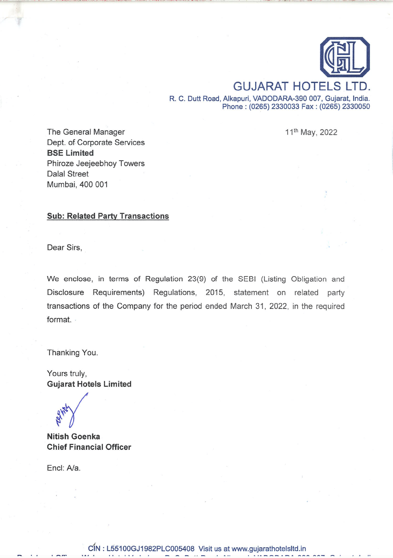

**GUJARAT HOTELS LTD.** R. C. Dutt Road, Alkapuri, VADODARA-390 007, Gujarat, India. Phone: (0265) 2330033 Fax: (0265) 2330050

11th May, 2022

The General Manager Dept. of Corporate Services **BSE Limited** Phiroze Jeejeebhoy Towers **Dalal Street** Mumbai, 400 001

## **Sub: Related Party Transactions**

Dear Sirs,

We enclose, in terms of Regulation 23(9) of the SEBI (Listing Obligation and Disclosure Requirements) Regulations, 2015, statement on related party transactions of the Company for the period ended March 31, 2022, in the required format.

Thanking You.

Yours truly, **Gujarat Hotels Limited** 

**Nitish Goenka Chief Financial Officer** 

Encl: A/a.